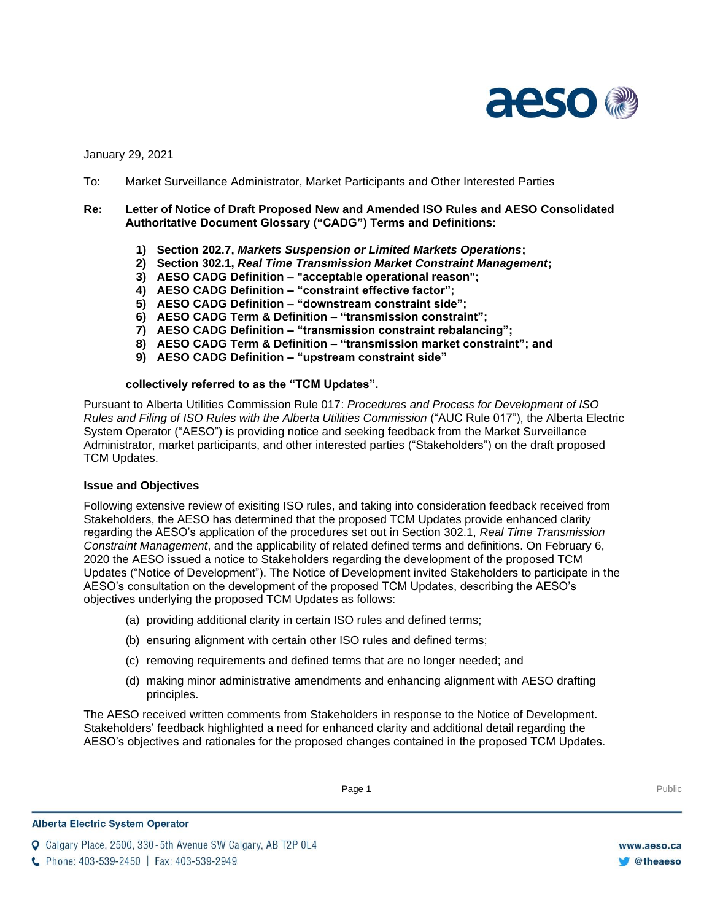

January 29, 2021

To: Market Surveillance Administrator, Market Participants and Other Interested Parties

# **Re: Letter of Notice of Draft Proposed New and Amended ISO Rules and AESO Consolidated Authoritative Document Glossary ("CADG") Terms and Definitions:**

- **1) Section 202.7,** *Markets Suspension or Limited Markets Operations***;**
- **2) Section 302.1,** *Real Time Transmission Market Constraint Management***;**
- **3) AESO CADG Definition – "acceptable operational reason";**
- **4) AESO CADG Definition – "constraint effective factor";**
- **5) AESO CADG Definition – "downstream constraint side";**
- **6) AESO CADG Term & Definition – "transmission constraint";**
- **7) AESO CADG Definition – "transmission constraint rebalancing";**
- **8) AESO CADG Term & Definition – "transmission market constraint"; and**
- **9) AESO CADG Definition – "upstream constraint side"**

### **collectively referred to as the "TCM Updates".**

Pursuant to Alberta Utilities Commission Rule 017: *Procedures and Process for Development of ISO Rules and Filing of ISO Rules with the Alberta Utilities Commission* ("AUC Rule 017"), the Alberta Electric System Operator ("AESO") is providing notice and seeking feedback from the Market Surveillance Administrator, market participants, and other interested parties ("Stakeholders") on the draft proposed TCM Updates.

### **Issue and Objectives**

Following extensive review of exisiting ISO rules, and taking into consideration feedback received from Stakeholders, the AESO has determined that the proposed TCM Updates provide enhanced clarity regarding the AESO's application of the procedures set out in Section 302.1, *Real Time Transmission Constraint Management*, and the applicability of related defined terms and definitions. On February 6, 2020 the AESO issued a notice to Stakeholders regarding the development of the proposed TCM Updates ("Notice of Development"). The Notice of Development invited Stakeholders to participate in the AESO's consultation on the development of the proposed TCM Updates, describing the AESO's objectives underlying the proposed TCM Updates as follows:

- (a) providing additional clarity in certain ISO rules and defined terms;
- (b) ensuring alignment with certain other ISO rules and defined terms;
- (c) removing requirements and defined terms that are no longer needed; and
- (d) making minor administrative amendments and enhancing alignment with AESO drafting principles.

The AESO received written comments from Stakeholders in response to the Notice of Development. Stakeholders' feedback highlighted a need for enhanced clarity and additional detail regarding the AESO's objectives and rationales for the proposed changes contained in the proposed TCM Updates.

**Q** Calgary Place, 2500, 330-5th Avenue SW Calgary, AB T2P 0L4